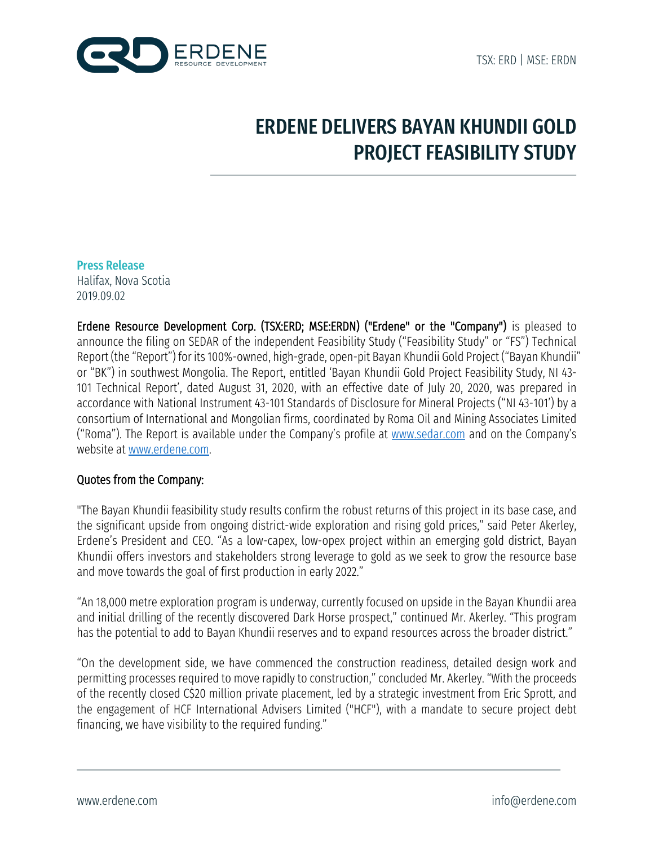

# ERDENE DELIVERS BAYAN KHUNDII GOLD PROJECT FEASIBILITY STUDY

#### Press Release

Halifax, Nova Scotia 2019.09.02

Erdene Resource Development Corp. (TSX:ERD; MSE:ERDN) ("Erdene" or the "Company") is pleased to announce the filing on SEDAR of the independent Feasibility Study ("Feasibility Study" or "FS") Technical Report (the "Report") for its 100%-owned, high-grade, open-pit Bayan Khundii Gold Project ("Bayan Khundii" or "BK") in southwest Mongolia. The Report, entitled 'Bayan Khundii Gold Project Feasibility Study, NI 43- 101 Technical Report', dated August 31, 2020, with an effective date of July 20, 2020, was prepared in accordance with National Instrument 43-101 Standards of Disclosure for Mineral Projects ("NI 43-101') by a consortium of International and Mongolian firms, coordinated by Roma Oil and Mining Associates Limited ("Roma"). The Report is available under the Company's profile at www.sedar.com and on the Company's website at www.erdene.com.

## Quotes from the Company:

"The Bayan Khundii feasibility study results confirm the robust returns of this project in its base case, and the significant upside from ongoing district-wide exploration and rising gold prices," said Peter Akerley, Erdene's President and CEO. "As a low-capex, low-opex project within an emerging gold district, Bayan Khundii offers investors and stakeholders strong leverage to gold as we seek to grow the resource base and move towards the goal of first production in early 2022."

"An 18,000 metre exploration program is underway, currently focused on upside in the Bayan Khundii area and initial drilling of the recently discovered Dark Horse prospect," continued Mr. Akerley. "This program has the potential to add to Bayan Khundii reserves and to expand resources across the broader district."

"On the development side, we have commenced the construction readiness, detailed design work and permitting processes required to move rapidly to construction," concluded Mr. Akerley. "With the proceeds of the recently closed C\$20 million private placement, led by a strategic investment from Eric Sprott, and the engagement of HCF International Advisers Limited ("HCF"), with a mandate to secure project debt financing, we have visibility to the required funding."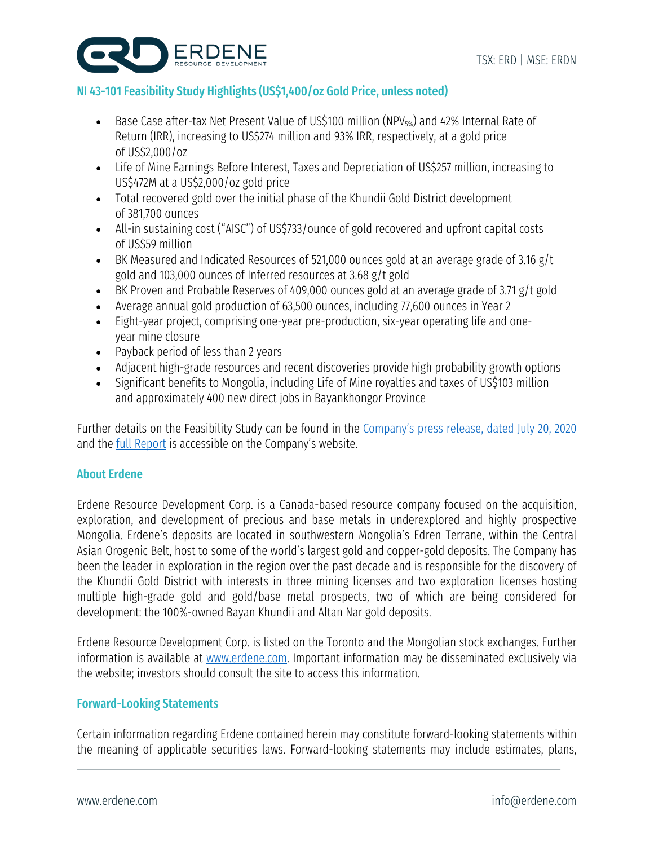

## NI 43-101 Feasibility Study Highlights(US\$1,400/oz Gold Price, unless noted)

- Base Case after-tax Net Present Value of US\$100 million (NPV<sub>5%</sub>) and 42% Internal Rate of Return (IRR), increasing to US\$274 million and 93% IRR, respectively, at a gold price of US\$2,000/oz
- Life of Mine Earnings Before Interest, Taxes and Depreciation of US\$257 million, increasing to US\$472M at a US\$2,000/oz gold price
- Total recovered gold over the initial phase of the Khundii Gold District development of 381,700 ounces
- All-in sustaining cost ("AISC") of US\$733/ounce of gold recovered and upfront capital costs of US\$59 million
- BK Measured and Indicated Resources of 521,000 ounces gold at an average grade of 3.16 g/t gold and 103,000 ounces of Inferred resources at 3.68 g/t gold
- BK Proven and Probable Reserves of 409,000 ounces gold at an average grade of 3.71 g/t gold
- Average annual gold production of 63,500 ounces, including 77,600 ounces in Year 2
- Eight-year project, comprising one-year pre-production, six-year operating life and oneyear mine closure
- Payback period of less than 2 years
- Adjacent high-grade resources and recent discoveries provide high probability growth options
- Significant benefits to Mongolia, including Life of Mine royalties and taxes of US\$103 million and approximately 400 new direct jobs in Bayankhongor Province

Further details on the Feasibility Study can be found in the Company's press release, dated July 20, 2020 and the full Report is accessible on the Company's website.

## About Erdene

Erdene Resource Development Corp. is a Canada-based resource company focused on the acquisition, exploration, and development of precious and base metals in underexplored and highly prospective Mongolia. Erdene's deposits are located in southwestern Mongolia's Edren Terrane, within the Central Asian Orogenic Belt, host to some of the world's largest gold and copper-gold deposits. The Company has been the leader in exploration in the region over the past decade and is responsible for the discovery of the Khundii Gold District with interests in three mining licenses and two exploration licenses hosting multiple high-grade gold and gold/base metal prospects, two of which are being considered for development: the 100%-owned Bayan Khundii and Altan Nar gold deposits.

Erdene Resource Development Corp. is listed on the Toronto and the Mongolian stock exchanges. Further information is available at www.erdene.com. Important information may be disseminated exclusively via the website; investors should consult the site to access this information.

## Forward-Looking Statements

Certain information regarding Erdene contained herein may constitute forward-looking statements within the meaning of applicable securities laws. Forward-looking statements may include estimates, plans,